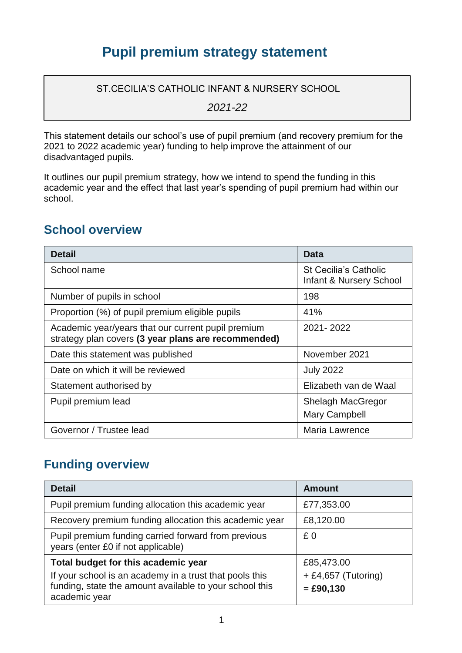## **Pupil premium strategy statement**

ST.CECILIA'S CATHOLIC INFANT & NURSERY SCHOOL

*2021-22*

This statement details our school's use of pupil premium (and recovery premium for the 2021 to 2022 academic year) funding to help improve the attainment of our disadvantaged pupils.

It outlines our pupil premium strategy, how we intend to spend the funding in this academic year and the effect that last year's spending of pupil premium had within our school.

#### **School overview**

| <b>Detail</b>                                                                                             | Data                                                               |
|-----------------------------------------------------------------------------------------------------------|--------------------------------------------------------------------|
| School name                                                                                               | <b>St Cecilia's Catholic</b><br><b>Infant &amp; Nursery School</b> |
| Number of pupils in school                                                                                | 198                                                                |
| Proportion (%) of pupil premium eligible pupils                                                           | 41%                                                                |
| Academic year/years that our current pupil premium<br>strategy plan covers (3 year plans are recommended) | 2021-2022                                                          |
| Date this statement was published                                                                         | November 2021                                                      |
| Date on which it will be reviewed                                                                         | <b>July 2022</b>                                                   |
| Statement authorised by                                                                                   | Elizabeth van de Waal                                              |
| Pupil premium lead                                                                                        | <b>Shelagh MacGregor</b>                                           |
|                                                                                                           | Mary Campbell                                                      |
| Governor / Trustee lead                                                                                   | Maria Lawrence                                                     |

### **Funding overview**

| <b>Detail</b>                                                                                                                       | <b>Amount</b>                      |
|-------------------------------------------------------------------------------------------------------------------------------------|------------------------------------|
| Pupil premium funding allocation this academic year                                                                                 | £77,353.00                         |
| Recovery premium funding allocation this academic year                                                                              | £8,120.00                          |
| Pupil premium funding carried forward from previous<br>years (enter £0 if not applicable)                                           | £0                                 |
| Total budget for this academic year                                                                                                 | £85,473.00                         |
| If your school is an academy in a trust that pools this<br>funding, state the amount available to your school this<br>academic year | + £4,657 (Tutoring)<br>$=$ £90,130 |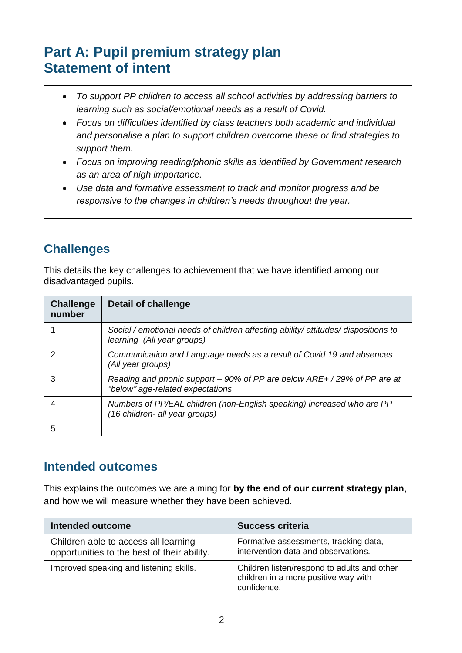# **Part A: Pupil premium strategy plan Statement of intent**

- *To support PP children to access all school activities by addressing barriers to learning such as social/emotional needs as a result of Covid.*
- *Focus on difficulties identified by class teachers both academic and individual and personalise a plan to support children overcome these or find strategies to support them.*
- *Focus on improving reading/phonic skills as identified by Government research as an area of high importance.*
- *Use data and formative assessment to track and monitor progress and be responsive to the changes in children's needs throughout the year.*

## **Challenges**

This details the key challenges to achievement that we have identified among our disadvantaged pupils.

| <b>Challenge</b><br>number | Detail of challenge                                                                                              |
|----------------------------|------------------------------------------------------------------------------------------------------------------|
|                            | Social / emotional needs of children affecting ability/ attitudes/ dispositions to<br>learning (All year groups) |
|                            | Communication and Language needs as a result of Covid 19 and absences<br>(All year groups)                       |
|                            | Reading and phonic support – 90% of PP are below ARE+ / 29% of PP are at<br>"below" age-related expectations     |
|                            | Numbers of PP/EAL children (non-English speaking) increased who are PP<br>(16 children- all year groups)         |
| 5                          |                                                                                                                  |

### **Intended outcomes**

This explains the outcomes we are aiming for **by the end of our current strategy plan**, and how we will measure whether they have been achieved.

| <b>Intended outcome</b>                                                             | <b>Success criteria</b>                                                                            |
|-------------------------------------------------------------------------------------|----------------------------------------------------------------------------------------------------|
| Children able to access all learning<br>opportunities to the best of their ability. | Formative assessments, tracking data,<br>intervention data and observations.                       |
| Improved speaking and listening skills.                                             | Children listen/respond to adults and other<br>children in a more positive way with<br>confidence. |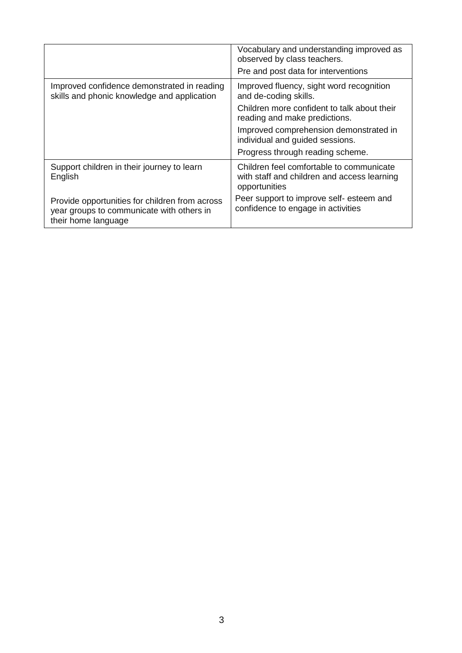|                                                                                                                    | Vocabulary and understanding improved as<br>observed by class teachers.<br>Pre and post data for interventions |
|--------------------------------------------------------------------------------------------------------------------|----------------------------------------------------------------------------------------------------------------|
| Improved confidence demonstrated in reading<br>skills and phonic knowledge and application                         | Improved fluency, sight word recognition<br>and de-coding skills.                                              |
|                                                                                                                    | Children more confident to talk about their<br>reading and make predictions.                                   |
|                                                                                                                    | Improved comprehension demonstrated in<br>individual and guided sessions.                                      |
|                                                                                                                    | Progress through reading scheme.                                                                               |
| Support children in their journey to learn<br>English                                                              | Children feel comfortable to communicate<br>with staff and children and access learning<br>opportunities       |
| Provide opportunities for children from across<br>year groups to communicate with others in<br>their home language | Peer support to improve self- esteem and<br>confidence to engage in activities                                 |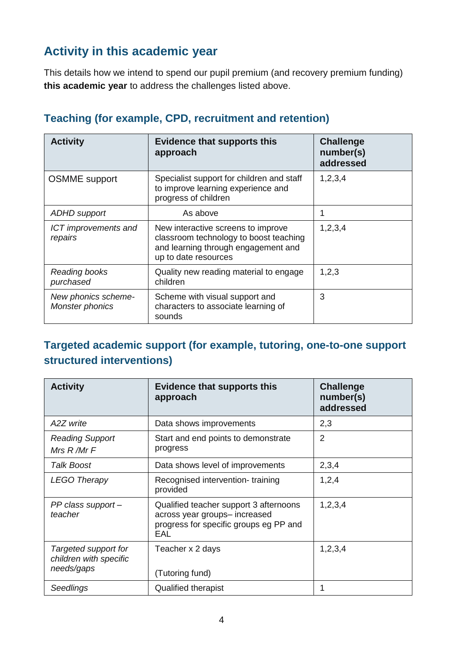## **Activity in this academic year**

This details how we intend to spend our pupil premium (and recovery premium funding) **this academic year** to address the challenges listed above.

| <b>Activity</b>                        | <b>Evidence that supports this</b><br>approach                                                                                              | <b>Challenge</b><br>number(s)<br>addressed |
|----------------------------------------|---------------------------------------------------------------------------------------------------------------------------------------------|--------------------------------------------|
| <b>OSMME</b> support                   | Specialist support for children and staff<br>to improve learning experience and<br>progress of children                                     | 1,2,3,4                                    |
| <b>ADHD</b> support                    | As above                                                                                                                                    | 1                                          |
| ICT improvements and<br>repairs        | New interactive screens to improve<br>classroom technology to boost teaching<br>and learning through engagement and<br>up to date resources | 1,2,3,4                                    |
| Reading books<br>purchased             | Quality new reading material to engage<br>children                                                                                          | 1,2,3                                      |
| New phonics scheme-<br>Monster phonics | Scheme with visual support and<br>characters to associate learning of<br>sounds                                                             | 3                                          |

#### **Teaching (for example, CPD, recruitment and retention)**

#### **Targeted academic support (for example, tutoring, one-to-one support structured interventions)**

| <b>Activity</b>                                              | <b>Evidence that supports this</b><br>approach                                                                           | <b>Challenge</b><br>number(s)<br>addressed |
|--------------------------------------------------------------|--------------------------------------------------------------------------------------------------------------------------|--------------------------------------------|
| A2Z write                                                    | Data shows improvements                                                                                                  | 2,3                                        |
| <b>Reading Support</b><br>Mrs R/Mr F                         | Start and end points to demonstrate<br>progress                                                                          | $\overline{2}$                             |
| <b>Talk Boost</b>                                            | Data shows level of improvements                                                                                         | 2,3,4                                      |
| <b>LEGO Therapy</b>                                          | Recognised intervention-training<br>provided                                                                             | 1,2,4                                      |
| PP class support-<br>teacher                                 | Qualified teacher support 3 afternoons<br>across year groups- increased<br>progress for specific groups eg PP and<br>EAL | 1,2,3,4                                    |
| Targeted support for<br>children with specific<br>needs/gaps | Teacher x 2 days<br>(Tutoring fund)                                                                                      | 1,2,3,4                                    |
| Seedlings                                                    | <b>Qualified therapist</b>                                                                                               | 1                                          |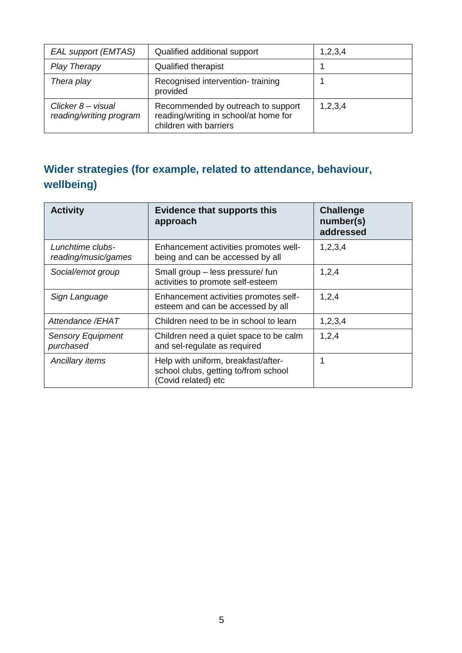| EAL support (EMTAS)                           | Qualified additional support                                                                          | 1,2,3,4 |
|-----------------------------------------------|-------------------------------------------------------------------------------------------------------|---------|
| <b>Play Therapy</b>                           | Qualified therapist                                                                                   |         |
| Thera play                                    | Recognised intervention-training<br>provided                                                          |         |
| Clicker 8 – visual<br>reading/writing program | Recommended by outreach to support<br>reading/writing in school/at home for<br>children with barriers | 1,2,3,4 |

## **Wider strategies (for example, related to attendance, behaviour, wellbeing)**

| <b>Activity</b>                         | <b>Evidence that supports this</b><br>approach                                                     | <b>Challenge</b><br>number(s)<br>addressed |
|-----------------------------------------|----------------------------------------------------------------------------------------------------|--------------------------------------------|
| Lunchtime clubs-<br>reading/music/games | Enhancement activities promotes well-<br>being and can be accessed by all                          | 1,2,3,4                                    |
| Social/emot group                       | Small group - less pressure/ fun<br>activities to promote self-esteem                              | 1,2,4                                      |
| Sign Language                           | Enhancement activities promotes self-<br>esteem and can be accessed by all                         | 1,2,4                                      |
| Attendance /EHAT                        | Children need to be in school to learn                                                             | 1,2,3,4                                    |
| <b>Sensory Equipment</b><br>purchased   | Children need a quiet space to be calm<br>and sel-regulate as required                             | 1,2,4                                      |
| Ancillary items                         | Help with uniform, breakfast/after-<br>school clubs, getting to/from school<br>(Covid related) etc | 1                                          |